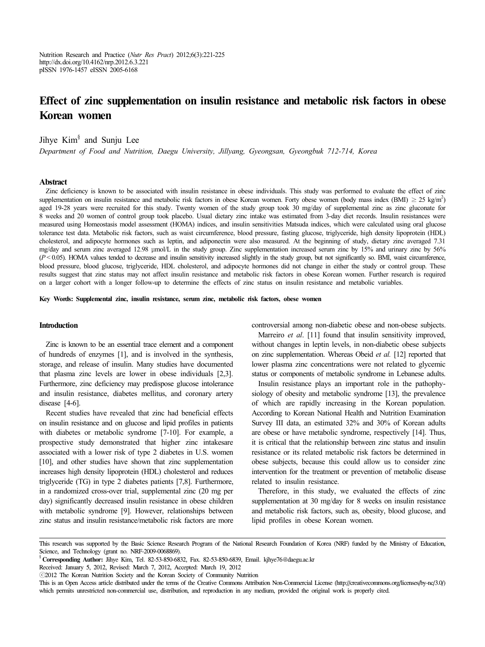Nutrition Research and Practice (*Nutr Res Pract*) 2012;6(3):221-225 http://dx.doi.org/10.4162/nrp.2012.6.3.221 pISSN 1976-1457 eISSN 2005-6168

# **Effect of zinc supplementation on insulin resistance and metabolic risk factors in obese Korean women**

Jihye Kim<sup>§</sup> and Sunju Lee

*Department of Food and Nutrition, Daegu University, Jillyang, Gyeongsan, Gyeongbuk 712-714, Korea*

#### **Abstract**

Zinc deficiency is known to be associated with insulin resistance in obese individuals. This study was performed to evaluate the effect of zinc supplementation on insulin resistance and metabolic risk factors in obese Korean women. Forty obese women (body mass index  $(BMI) \geq 25 \text{ kg/m}^2$ ) aged 19-28 years were recruited for this study. Twenty women of the study group took 30 mg/day of supplemental zinc as zinc gluconate for 8 weeks and 20 women of control group took placebo. Usual dietary zinc intake was estimated from 3-day diet records. Insulin resistances were measured using Homeostasis model assessment (HOMA) indices, and insulin sensitivities Matsuda indices, which were calculated using oral glucose tolerance test data. Metabolic risk factors, such as waist circumference, blood pressure, fasting glucose, triglyceride, high density lipoprotein (HDL) cholesterol, and adipocyte hormones such as leptin, and adiponectin were also measured. At the beginning of study, dietary zinc averaged 7.31 mg/day and serum zinc averaged 12.98 μmol/L in the study group. Zinc supplementation increased serum zinc by 15% and urinary zinc by 56% (*P* < 0.05). HOMA values tended to decrease and insulin sensitivity increased slightly in the study group, but not significantly so. BMI, waist circumference, blood pressure, blood glucose, triglyceride, HDL cholesterol, and adipocyte hormones did not change in either the study or control group. These results suggest that zinc status may not affect insulin resistance and metabolic risk factors in obese Korean women. Further research is required on a larger cohort with a longer follow-up to determine the effects of zinc status on insulin resistance and metabolic variables.

**Key Words: Supplemental zinc, insulin resistance, serum zinc, metabolic risk factors, obese women**

### **Introduction**

Zinc is known to be an essential trace element and a component of hundreds of enzymes [1], and is involved in the synthesis, storage, and release of insulin. Many studies have documented that plasma zinc levels are lower in obese individuals [2,3]. Furthermore, zinc deficiency may predispose glucose intolerance and insulin resistance, diabetes mellitus, and coronary artery disease [4-6].

Recent studies have revealed that zinc had beneficial effects on insulin resistance and on glucose and lipid profiles in patients with diabetes or metabolic syndrome [7-10]. For example, a prospective study demonstrated that higher zinc intakesare associated with a lower risk of type 2 diabetes in U.S. women [10], and other studies have shown that zinc supplementation increases high density lipoprotein (HDL) cholesterol and reduces triglyceride (TG) in type 2 diabetes patients [7,8]. Furthermore, in a randomized cross-over trial, supplemental zinc (20 mg per day) significantly decreased insulin resistance in obese children with metabolic syndrome [9]. However, relationships between zinc status and insulin resistance/metabolic risk factors are more controversial among non-diabetic obese and non-obese subjects.

Marreiro *et al*. [11] found that insulin sensitivity improved, without changes in leptin levels, in non-diabetic obese subjects on zinc supplementation. Whereas Obeid *et al.* [12] reported that lower plasma zinc concentrations were not related to glycemic status or components of metabolic syndrome in Lebanese adults.

Insulin resistance plays an important role in the pathophysiology of obesity and metabolic syndrome [13], the prevalence of which are rapidly increasing in the Korean population. According to Korean National Health and Nutrition Examination Survey III data, an estimated 32% and 30% of Korean adults are obese or have metabolic syndrome, respectively [14]. Thus, it is critical that the relationship between zinc status and insulin resistance or its related metabolic risk factors be determined in obese subjects, because this could allow us to consider zinc intervention for the treatment or prevention of metabolic disease related to insulin resistance.

Therefore, in this study, we evaluated the effects of zinc supplementation at 30 mg/day for 8 weeks on insulin resistance and metabolic risk factors, such as, obesity, blood glucose, and lipid profiles in obese Korean women.

Received: January 5, 2012, Revised: March 7, 2012, Accepted: March 19, 2012

This research was supported by the Basic Science Research Program of the National Research Foundation of Korea (NRF) funded by the Ministry of Education, Science, and Technology (grant no. NRF-2009-0068869).

<sup>§</sup> **Corresponding Author:** Jihye Kim, Tel. 82-53-850-6832, Fax. 82-53-850-6839, Email. kjhye76@daegu.ac.kr

<sup>ⓒ</sup>2012 The Korean Nutrition Society and the Korean Society of Community Nutrition

This is an Open Access article distributed under the terms of the Creative Commons Attribution Non-Commercial License (http://creativecommons.org/licenses/by-nc/3.0/) which permits unrestricted non-commercial use, distribution, and reproduction in any medium, provided the original work is properly cited.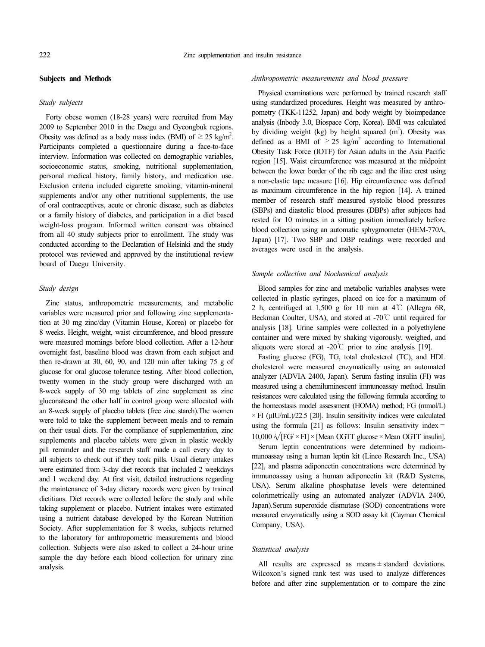### **Subjects and Methods**

#### *Study subjects*

Forty obese women (18-28 years) were recruited from May 2009 to September 2010 in the Daegu and Gyeongbuk regions. Obesity was defined as a body mass index (BMI) of  $\geq$  25 kg/m<sup>2</sup>. Participants completed a questionnaire during a face-to-face interview. Information was collected on demographic variables, socioeconomic status, smoking, nutritional supplementation, personal medical history, family history, and medication use. Exclusion criteria included cigarette smoking, vitamin-mineral supplements and/or any other nutritional supplements, the use of oral contraceptives, acute or chronic disease, such as diabetes or a family history of diabetes, and participation in a diet based weight-loss program. Informed written consent was obtained from all 40 study subjects prior to enrollment. The study was conducted according to the Declaration of Helsinki and the study protocol was reviewed and approved by the institutional review board of Daegu University.

## *Study design*

Zinc status, anthropometric measurements, and metabolic variables were measured prior and following zinc supplementation at 30 mg zinc/day (Vitamin House, Korea) or placebo for 8 weeks. Height, weight, waist circumference, and blood pressure were measured mornings before blood collection. After a 12-hour overnight fast, baseline blood was drawn from each subject and then re-drawn at 30, 60, 90, and 120 min after taking 75 g of glucose for oral glucose tolerance testing. After blood collection, twenty women in the study group were discharged with an 8-week supply of 30 mg tablets of zinc supplement as zinc gluconateand the other half in control group were allocated with an 8-week supply of placebo tablets (free zinc starch).The women were told to take the supplement between meals and to remain on their usual diets. For the compliance of supplementation, zinc supplements and placebo tablets were given in plastic weekly pill reminder and the research staff made a call every day to all subjects to check out if they took pills. Usual dietary intakes were estimated from 3-day diet records that included 2 weekdays and 1 weekend day. At first visit, detailed instructions regarding the maintenance of 3-day dietary records were given by trained dietitians. Diet records were collected before the study and while taking supplement or placebo. Nutrient intakes were estimated using a nutrient database developed by the Korean Nutrition Society. After supplementation for 8 weeks, subjects returned to the laboratory for anthropometric measurements and blood collection. Subjects were also asked to collect a 24-hour urine sample the day before each blood collection for urinary zinc analysis.

### *Anthropometric measurements and blood pressure*

Physical examinations were performed by trained research staff using standardized procedures. Height was measured by anthropometry (TKK-11252, Japan) and body weight by bioimpedance analysis (Inbody 3.0, Biospace Corp, Korea). BMI was calculated by dividing weight (kg) by height squared  $(m<sup>2</sup>)$ . Obesity was defined as a BMI of  $\geq$  25 kg/m<sup>2</sup> according to International Obesity Task Force (IOTF) for Asian adults in the Asia Pacific region [15]. Waist circumference was measured at the midpoint between the lower border of the rib cage and the iliac crest using a non-elastic tape measure [16]. Hip circumference was defined as maximum circumference in the hip region [14]. A trained member of research staff measured systolic blood pressures (SBPs) and diastolic blood pressures (DBPs) after subjects had rested for 10 minutes in a sitting position immediately before blood collection using an automatic sphygmometer (HEM-770A, Japan) [17]. Two SBP and DBP readings were recorded and averages were used in the analysis.

#### *Sample collection and biochemical analysis*

Blood samples for zinc and metabolic variables analyses were collected in plastic syringes, placed on ice for a maximum of 2 h, centrifuged at 1,500 g for 10 min at  $4^{\circ}$ C (Allegra 6R, Beckman Coulter, USA), and stored at -70℃ until required for analysis [18]. Urine samples were collected in a polyethylene container and were mixed by shaking vigorously, weighed, and aliquots were stored at -20 $\degree$ C prior to zinc analysis [19].

 $10,000 \sqrt{\text{[FG]} \times \text{FI}} \times \text{[Mean OGTT glucose} \times \text{Mean OGTT insulin]}$ . Fasting glucose (FG), TG, total cholesterol (TC), and HDL cholesterol were measured enzymatically using an automated analyzer (ADVIA 2400, Japan). Serum fasting insulin (FI) was measured using a chemiluminescent immunoassay method. Insulin resistances were calculated using the following formula according to the homeostasis model assessment (HOMA) method; FG (mmol/L)  $\times$  FI (uIU/mL)/22.5 [20]. Insulin sensitivity indices were calculated using the formula  $[21]$  as follows: Insulin sensitivity index =

Serum leptin concentrations were determined by radioimmunoassay using a human leptin kit (Linco Research Inc., USA) [22], and plasma adiponectin concentrations were determined by immunoassay using a human adiponectin kit (R&D Systems, USA). Serum alkaline phosphatase levels were determined colorimetrically using an automated analyzer (ADVIA 2400, Japan).Serum superoxide dismutase (SOD) concentrations were measured enzymatically using a SOD assay kit (Cayman Chemical Company, USA).

### *Statistical analysis*

All results are expressed as means ± standard deviations. Wilcoxon's signed rank test was used to analyze differences before and after zinc supplementation or to compare the zinc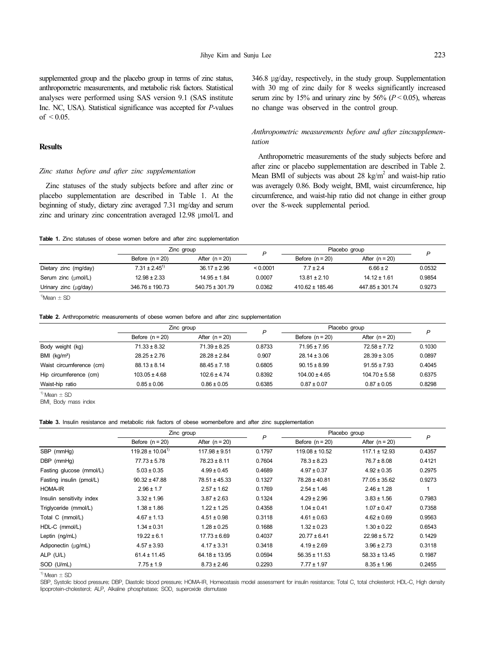supplemented group and the placebo group in terms of zinc status, anthropometric measurements, and metabolic risk factors. Statistical analyses were performed using SAS version 9.1 (SAS institute Inc. NC, USA). Statistical significance was accepted for *P*-values of  $\leq 0.05$ .

# **Results**

### *Zinc status before and after zinc supplementation*

Zinc statuses of the study subjects before and after zinc or placebo supplementation are described in Table 1. At the beginning of study, dietary zinc averaged 7.31 mg/day and serum zinc and urinary zinc concentration averaged 12.98 μmol/L and 346.8 μg/day, respectively, in the study group. Supplementation with 30 mg of zinc daily for 8 weeks significantly increased serum zinc by 15% and urinary zinc by 56%  $(P < 0.05)$ , whereas no change was observed in the control group.

## *Anthropometric measurements before and after zincsupplementation*

Anthropometric measurements of the study subjects before and after zinc or placebo supplementation are described in Table 2. Mean BMI of subjects was about 28 kg/ $m<sup>2</sup>$  and waist-hip ratio was averagely 0.86. Body weight, BMI, waist circumference, hip circumference, and waist-hip ratio did not change in either group over the 8-week supplemental period.

**Table 1.** Zinc statuses of obese women before and after zinc supplementation

|                                     | Zinc group                    |                     |          | Placebo group       |                  | P      |
|-------------------------------------|-------------------------------|---------------------|----------|---------------------|------------------|--------|
|                                     | Before $(n = 20)$             | After $(n = 20)$    |          | Before $(n = 20)$   | After $(n = 20)$ |        |
| Dietary zinc (mg/day)               | $7.31 \pm 2.45$ <sup>1)</sup> | $36.17 \pm 2.96$    | < 0.0001 | $7.7 \pm 2.4$       | $6.66 \pm 2$     | 0.0532 |
| Serum zinc $(\mu \text{mol/L})$     | $12.98 \pm 2.33$              | $14.95 \pm 1.84$    | 0.0007   | $13.81 \pm 2.10$    | $14.12 \pm 1.61$ | 0.9854 |
| Urinary zinc $(\mu g / d \alpha y)$ | $346.76 \pm 190.73$           | $540.75 \pm 301.79$ | 0.0362   | $410.62 \pm 185.46$ | 447.85 ± 301.74  | 0.9273 |

 $1)$ Mean  $\pm$  SD

#### **Table 2.** Anthropometric measurements of obese women before and after zinc supplementation

|                          | Zinc group        |                  |        | Placebo group     |                   | P      |
|--------------------------|-------------------|------------------|--------|-------------------|-------------------|--------|
|                          | Before $(n = 20)$ | After $(n = 20)$ |        | Before $(n = 20)$ | After $(n = 20)$  |        |
| Body weight (kg)         | $71.33 \pm 8.32$  | $71.39 \pm 8.25$ | 0.8733 | $71.95 \pm 7.95$  | $72.58 \pm 7.72$  | 0.1030 |
| BMI (kq/m <sup>2</sup> ) | $28.25 \pm 2.76$  | $28.28 \pm 2.84$ | 0.907  | $28.14 \pm 3.06$  | $28.39 \pm 3.05$  | 0.0897 |
| Waist circumference (cm) | $88.13 \pm 8.14$  | $88.45 \pm 7.18$ | 0.6805 | $90.15 \pm 8.99$  | $91.55 \pm 7.93$  | 0.4045 |
| Hip circumference (cm)   | $103.05 \pm 4.68$ | $102.6 \pm 4.74$ | 0.8392 | $104.00 \pm 4.65$ | $104.70 \pm 5.58$ | 0.6375 |
| Waist-hip ratio          | $0.85 \pm 0.06$   | $0.86 \pm 0.05$  | 0.6385 | $0.87 \pm 0.07$   | $0.87 \pm 0.05$   | 0.8298 |

 $1)$  Mean  $\pm$  SD

BMI, Body mass index

#### **Table 3.** Insulin resistance and metabolic risk factors of obese womenbefore and after zinc supplementation

|                           | Zinc group             |                   | P      | Placebo group      |                   |        |
|---------------------------|------------------------|-------------------|--------|--------------------|-------------------|--------|
|                           | Before $(n = 20)$      | After $(n = 20)$  |        | Before $(n = 20)$  | After $(n = 20)$  | P      |
| SBP (mmHg)                | $119.28 \pm 10.04^{1}$ | $117.98 \pm 9.51$ | 0.1797 | $119.08 \pm 10.52$ | $117.1 \pm 12.93$ | 0.4357 |
| DBP (mmHg)                | $77.73 \pm 5.78$       | $78.23 \pm 8.11$  | 0.7604 | $78.3 \pm 8.23$    | $76.7 \pm 8.08$   | 0.4121 |
| Fasting glucose (mmol/L)  | $5.03 \pm 0.35$        | $4.99 \pm 0.45$   | 0.4689 | $4.97 \pm 0.37$    | $4.92 \pm 0.35$   | 0.2975 |
| Fasting insulin (pmol/L)  | $90.32 \pm 47.88$      | 78.51 ± 45.33     | 0.1327 | $78.28 \pm 40.81$  | $77.05 \pm 35.62$ | 0.9273 |
| <b>HOMA-IR</b>            | $2.96 \pm 1.7$         | $2.57 \pm 1.62$   | 0.1769 | $2.54 \pm 1.46$    | $2.46 \pm 1.28$   |        |
| Insulin sensitivity index | $3.32 \pm 1.96$        | $3.87 \pm 2.63$   | 0.1324 | $4.29 \pm 2.96$    | $3.83 \pm 1.56$   | 0.7983 |
| Triglyceride (mmol/L)     | $1.38 \pm 1.86$        | $1.22 \pm 1.25$   | 0.4358 | $1.04 \pm 0.41$    | $1.07 \pm 0.47$   | 0.7358 |
| Total C (mmol/L)          | $4.67 \pm 1.13$        | $4.51 \pm 0.98$   | 0.3118 | $4.61 \pm 0.63$    | $4.62 \pm 0.69$   | 0.9563 |
| HDL-C (mmol/L)            | $1.34 \pm 0.31$        | $1.28 \pm 0.25$   | 0.1688 | $1.32 \pm 0.23$    | $1.30 \pm 0.22$   | 0.6543 |
| Leptin (ng/mL)            | $19.22 \pm 6.1$        | $17.73 \pm 6.69$  | 0.4037 | $20.77 \pm 6.41$   | $22.98 \pm 5.72$  | 0.1429 |
| Adiponectin (µq/mL)       | $4.57 \pm 3.93$        | $4.17 \pm 3.31$   | 0.3418 | $4.19 \pm 2.69$    | $3.96 \pm 2.73$   | 0.3118 |
| ALP (U/L)                 | $61.4 \pm 11.45$       | $64.18 \pm 13.95$ | 0.0594 | $56.35 \pm 11.53$  | $58.33 \pm 13.45$ | 0.1987 |
| SOD (U/mL)                | $7.75 \pm 1.9$         | $8.73 \pm 2.46$   | 0.2293 | $7.77 \pm 1.97$    | $8.35 \pm 1.96$   | 0.2455 |

 $1)$  Mean  $\pm$  SD

SBP, Systolic blood pressure; DBP, Diastolic blood pressure; HOMA-IR, Homeostasis model assessment for insulin resistance; Total C, total cholesterol; HDL-C, High density lipoprotein-cholesterol; ALP, Alkaline phosphatase; SOD, superoxide dismutase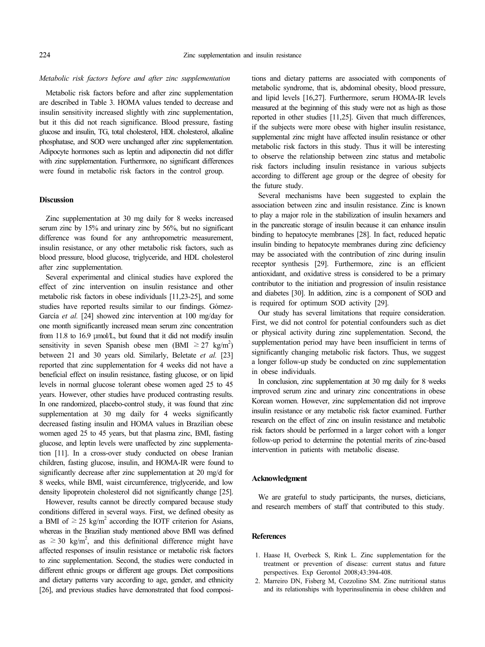### *Metabolic risk factors before and after zinc supplementation*

Metabolic risk factors before and after zinc supplementation are described in Table 3. HOMA values tended to decrease and insulin sensitivity increased slightly with zinc supplementation, but it this did not reach significance. Blood pressure, fasting glucose and insulin, TG, total cholesterol, HDL cholesterol, alkaline phosphatase, and SOD were unchanged after zinc supplementation. Adipocyte hormones such as leptin and adiponectin did not differ with zinc supplementation. Furthermore, no significant differences were found in metabolic risk factors in the control group.

#### **Discussion**

Zinc supplementation at 30 mg daily for 8 weeks increased serum zinc by 15% and urinary zinc by 56%, but no significant difference was found for any anthropometric measurement, insulin resistance, or any other metabolic risk factors, such as blood pressure, blood glucose, triglyceride, and HDL cholesterol after zinc supplementation.

Several experimental and clinical studies have explored the effect of zinc intervention on insulin resistance and other metabolic risk factors in obese individuals [11,23-25], and some studies have reported results similar to our findings. Gómez-García *et al.* [24] showed zinc intervention at 100 mg/day for one month significantly increased mean serum zinc concentration from 11.8 to 16.9 μmol/L, but found that it did not modify insulin sensitivity in seven Spanish obese men (BMI  $\geq 27$  kg/m<sup>2</sup>) between 21 and 30 years old. Similarly, Beletate *et al.* [23] reported that zinc supplementation for 4 weeks did not have a beneficial effect on insulin resistance, fasting glucose, or on lipid levels in normal glucose tolerant obese women aged 25 to 45 years. However, other studies have produced contrasting results. In one randomized, placebo-control study, it was found that zinc supplementation at 30 mg daily for 4 weeks significantly decreased fasting insulin and HOMA values in Brazilian obese women aged 25 to 45 years, but that plasma zinc, BMI, fasting glucose, and leptin levels were unaffected by zinc supplementation [11]. In a cross-over study conducted on obese Iranian children, fasting glucose, insulin, and HOMA-IR were found to significantly decrease after zinc supplementation at 20 mg/d for 8 weeks, while BMI, waist circumference, triglyceride, and low density lipoprotein cholesterol did not significantly change [25].

However, results cannot be directly compared because study conditions differed in several ways. First, we defined obesity as a BMI of  $\geq$  25 kg/m<sup>2</sup> according the IOTF criterion for Asians, whereas in the Brazilian study mentioned above BMI was defined as  $\geq$  30 kg/m<sup>2</sup>, and this definitional difference might have affected responses of insulin resistance or metabolic risk factors to zinc supplementation. Second, the studies were conducted in different ethnic groups or different age groups. Diet compositions and dietary patterns vary according to age, gender, and ethnicity [26], and previous studies have demonstrated that food composi-

tions and dietary patterns are associated with components of metabolic syndrome, that is, abdominal obesity, blood pressure, and lipid levels [16,27]. Furthermore, serum HOMA-IR levels measured at the beginning of this study were not as high as those reported in other studies [11,25]. Given that much differences, if the subjects were more obese with higher insulin resistance, supplemental zinc might have affected insulin resistance or other metabolic risk factors in this study. Thus it will be interesting to observe the relationship between zinc status and metabolic risk factors including insulin resistance in various subjects according to different age group or the degree of obesity for the future study.

Several mechanisms have been suggested to explain the association between zinc and insulin resistance. Zinc is known to play a major role in the stabilization of insulin hexamers and in the pancreatic storage of insulin because it can enhance insulin binding to hepatocyte membranes [28]. In fact, reduced hepatic insulin binding to hepatocyte membranes during zinc deficiency may be associated with the contribution of zinc during insulin receptor synthesis [29]. Furthermore, zinc is an efficient antioxidant, and oxidative stress is considered to be a primary contributor to the initiation and progression of insulin resistance and diabetes [30]. In addition, zinc is a component of SOD and is required for optimum SOD activity [29].

Our study has several limitations that require consideration. First, we did not control for potential confounders such as diet or physical activity during zinc supplementation. Second, the supplementation period may have been insufficient in terms of significantly changing metabolic risk factors. Thus, we suggest a longer follow-up study be conducted on zinc supplementation in obese individuals.

In conclusion, zinc supplementation at 30 mg daily for 8 weeks improved serum zinc and urinary zinc concentrations in obese Korean women. However, zinc supplementation did not improve insulin resistance or any metabolic risk factor examined. Further research on the effect of zinc on insulin resistance and metabolic risk factors should be performed in a larger cohort with a longer follow-up period to determine the potential merits of zinc-based intervention in patients with metabolic disease.

### **Acknowledgment**

We are grateful to study participants, the nurses, dieticians, and research members of staff that contributed to this study.

### **References**

- 1. Haase H, Overbeck S, Rink L. Zinc supplementation for the treatment or prevention of disease: current status and future perspectives. Exp Gerontol 2008;43:394-408.
- 2. Marreiro DN, Fisberg M, Cozzolino SM. Zinc nutritional status and its relationships with hyperinsulinemia in obese children and